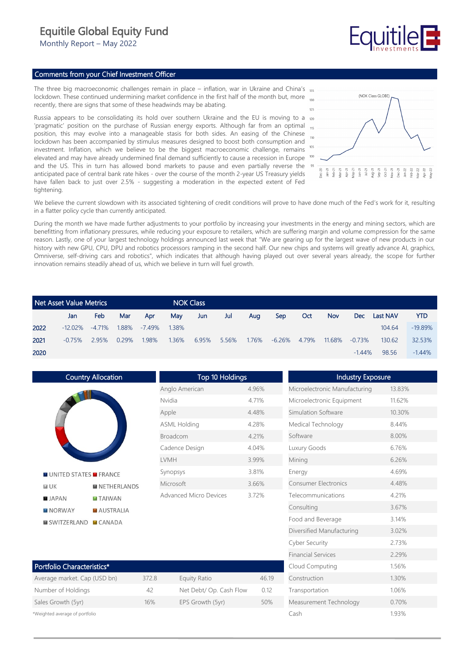## Equitile Global Equity Fund

Monthly Report – May 2022

## Comments from your Chief Investment Officer

The three big macroeconomic challenges remain in place – inflation, war in Ukraine and China's  $_{13}$ lockdown. These continued undermining market confidence in the first half of the month but, more recently, there are signs that some of these headwinds may be abating.

Russia appears to be consolidating its hold over southern Ukraine and the EU is moving to a 120 'pragmatic' position on the purchase of Russian energy exports. Although far from an optimal 15 position, this may evolve into a manageable stasis for both sides. An easing of the Chinese lockdown has been accompanied by stimulus measures designed to boost both consumption and investment. Inflation, which we believe to be the biggest macroeconomic challenge, remains elevated and may have already undermined final demand sufficiently to cause a recession in Europe and the US. This in turn has allowed bond markets to pause and even partially reverse the anticipated pace of central bank rate hikes - over the course of the month 2-year US Treasury yields have fallen back to just over 2.5% - suggesting a moderation in the expected extent of Fed tightening.



**Fauitile** 

We believe the current slowdown with its associated tightening of credit conditions will prove to have done much of the Fed's work for it, resulting in a flatter policy cycle than currently anticipated.

During the month we have made further adjustments to your portfolio by increasing your investments in the energy and mining sectors, which are benefitting from inflationary pressures, while reducing your exposure to retailers, which are suffering margin and volume compression for the same reason. Lastly, one of your largest technology holdings announced last week that "We are gearing up for the largest wave of new products in our history with new GPU, CPU, DPU and robotics processors ramping in the second half. Our new chips and systems will greatly advance AI, graphics, Omniverse, self-driving cars and robotics", which indicates that although having played out over several years already, the scope for further innovation remains steadily ahead of us, which we believe in turn will fuel growth.

|      | Net Asset Value Metrics |            |       |           |       | <b>NOK Class</b> |       |       |        |       |        |           |                 |            |
|------|-------------------------|------------|-------|-----------|-------|------------------|-------|-------|--------|-------|--------|-----------|-----------------|------------|
|      | Jan                     | <b>Feb</b> | Mar   | Apr       | May   | Jun              | Jul   | Aug   | Sep    | Oct   | Nov.   | Dec       | <b>Last NAV</b> | <b>YTD</b> |
| 2022 | $-12.02\%$              | -4.71%     | 1.88% | $-7.49\%$ | 1.38% |                  |       |       |        |       |        |           | 104.64          | $-19.89%$  |
| 2021 | $-0.75%$                | 2.95%      | 0.29% | 1.98%     | 1.36% | 6.95%            | 5.56% | 1.76% | -6.26% | 4.79% | 11.68% | $-0.73%$  | 130.62          | 32.53%     |
| 2020 |                         |            |       |           |       |                  |       |       |        |       |        | $-1.44\%$ | 98.56           | $-1.44%$   |

| Country Allocation            |                    |  |  |  |  |  |  |
|-------------------------------|--------------------|--|--|--|--|--|--|
|                               |                    |  |  |  |  |  |  |
| <b>MUNITED STATES MERANCE</b> |                    |  |  |  |  |  |  |
| <b>NUK</b>                    | <b>NETHERLANDS</b> |  |  |  |  |  |  |
| <b>B</b> JAPAN                | <b>TAIWAN</b>      |  |  |  |  |  |  |
| MORWAY                        | <b>AUSTRALIA</b>   |  |  |  |  |  |  |
| SWITZERLAND CANADA            |                    |  |  |  |  |  |  |

| <b>Top 10 Holdings</b> |       |  |  |  |  |  |  |
|------------------------|-------|--|--|--|--|--|--|
| Anglo American         | 4.96% |  |  |  |  |  |  |
| Nvidia                 | 4 71% |  |  |  |  |  |  |
| Apple                  | 4.48% |  |  |  |  |  |  |
| <b>ASML Holding</b>    | 428%  |  |  |  |  |  |  |
| <b>Broadcom</b>        | 4 21% |  |  |  |  |  |  |
| Cadence Design         | 4.04% |  |  |  |  |  |  |
| <b>IVMH</b>            | 3.99% |  |  |  |  |  |  |
| Synopsys               | 3.81% |  |  |  |  |  |  |
| Microsoft              | 3.66% |  |  |  |  |  |  |
| Advanced Micro Devices | 372%  |  |  |  |  |  |  |
|                        |       |  |  |  |  |  |  |

| Portfolio Characteristics*     |       |                         |       |  |  |  |  |
|--------------------------------|-------|-------------------------|-------|--|--|--|--|
| Average market. Cap (USD bn)   | 372.8 | Equity Ratio            | 46.19 |  |  |  |  |
| Number of Holdings             | 42    | Net Debt/ Op. Cash Flow | 012   |  |  |  |  |
| Sales Growth (5yr)             | 16%   | EPS Growth (5yr)        | 50%   |  |  |  |  |
| *Weighted average of portfolio |       |                         |       |  |  |  |  |

| <b>Industry Exposure</b>      |        |
|-------------------------------|--------|
| Microelectronic Manufacturing | 13.83% |
| Microelectronic Equipment     | 11.62% |
| Simulation Software           | 10.30% |
| Medical Technology            | 844%   |
| Software                      | 8.00%  |
| Luxury Goods                  | 6.76%  |
| Mining                        | 6.26%  |
| Energy                        | 4.69%  |
| <b>Consumer Electronics</b>   | 4.48%  |
| Telecommunications            | 4.21%  |
| Consulting                    | 3.67%  |
| Food and Beverage             | 3.14%  |
| Diversified Manufacturing     | 3.02%  |
| <b>Cyber Security</b>         | 2.73%  |
| <b>Financial Services</b>     | 2.29%  |
| Cloud Computing               | 1.56%  |
| Construction                  | 1.30%  |
| Transportation                | 1.06%  |
| Measurement Technology        | 0.70%  |
| Cash                          | 1.93%  |